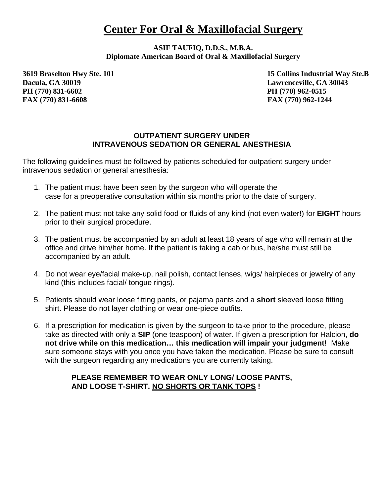## **Center For Oral & Maxillofacial Surgery**

**ASIF TAUFIQ, D.D.S., M.B.A. Diplomate American Board of Oral & Maxillofacial Surgery**

**Dacula, GA 30019 Lawrenceville, GA 30043 PH (770) 831-6602 PH (770) 962-0515 FAX (770) 831-6608 FAX (770) 962-1244**

**3619 Braselton Hwy Ste. 101 15 Collins Industrial Way Ste.B**

## **OUTPATIENT SURGERY UNDER INTRAVENOUS SEDATION OR GENERAL ANESTHESIA**

The following guidelines must be followed by patients scheduled for outpatient surgery under intravenous sedation or general anesthesia:

- 1. The patient must have been seen by the surgeon who will operate the case for a preoperative consultation within six months prior to the date of surgery.
- 2. The patient must not take any solid food or fluids of any kind (not even water!) for **EIGHT** hours prior to their surgical procedure.
- 3. The patient must be accompanied by an adult at least 18 years of age who will remain at the office and drive him/her home. If the patient is taking a cab or bus, he/she must still be accompanied by an adult.
- 4. Do not wear eye/facial make-up, nail polish, contact lenses, wigs/ hairpieces or jewelry of any kind (this includes facial/ tongue rings).
- 5. Patients should wear loose fitting pants, or pajama pants and a **short** sleeved loose fitting shirt. Please do not layer clothing or wear one-piece outfits.
- 6. If a prescription for medication is given by the surgeon to take prior to the procedure, please take as directed with only a **SIP** (one teaspoon) of water. If given a prescription for Halcion, **do not drive while on this medication… this medication will impair your judgment!** Make sure someone stays with you once you have taken the medication. Please be sure to consult with the surgeon regarding any medications you are currently taking.

## **PLEASE REMEMBER TO WEAR ONLY LONG/ LOOSE PANTS, AND LOOSE T-SHIRT. NO SHORTS OR TANK TOPS !**